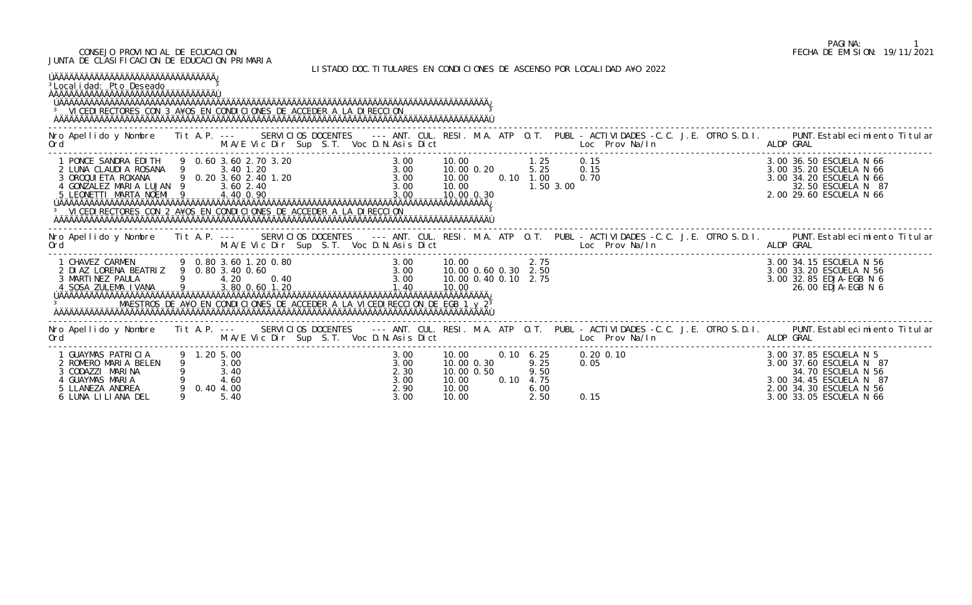## CONSEJO PROVINCIAL DE ECUCACION FECHA DE EMISION: 19/11/2021 JUNTA DE CLASIFICACION DE EDUCACION PRIMARIA

LISTADO DOC.TITULARES EN CONDICIONES DE ASCENSO POR LOCALIDAD A¥O 2022

| ÚÄÄÄÄÄÄÄÄÄÄÄÄÄÄÄÄÄÄÄÄÄÄÄÄÄÄÄÄÄÄÄÄÄÄÄ<br><sup>3</sup> Local i dad: Pto Deseado<br><sup>3</sup> VI CEDI RECTORES CON 3 A¥OS EN CONDICIONES DE ACCEDER A LA DI RECCION                                                                                                                                                                 |             |                                           |                                                                                                                                                                                                      |                                              |                                                               |                   |                                                                        |                                                                                                                                                                                                                                      |  |           |                                                                                                                                                                 |
|-------------------------------------------------------------------------------------------------------------------------------------------------------------------------------------------------------------------------------------------------------------------------------------------------------------------------------------|-------------|-------------------------------------------|------------------------------------------------------------------------------------------------------------------------------------------------------------------------------------------------------|----------------------------------------------|---------------------------------------------------------------|-------------------|------------------------------------------------------------------------|--------------------------------------------------------------------------------------------------------------------------------------------------------------------------------------------------------------------------------------|--|-----------|-----------------------------------------------------------------------------------------------------------------------------------------------------------------|
| M.A/E Vic Dir Sup S.T. Voc D.N.Asis Dict<br>Ord                                                                                                                                                                                                                                                                                     |             |                                           |                                                                                                                                                                                                      |                                              |                                                               |                   |                                                                        | <b>Example 20 Inches Locky Provident Mark 1 Inches And American Structure Control Control Control Control Control Control Control Control Control Control Control Control Control Control Control Control Control Control Contro</b> |  | ALDP GRAL | Nro Apellido y Nombre Tit A.P. --- SERVICIOS DOCENTES --- ANT. CUL. RESI. M.A. ATP O.T. PUBL - ACTIVIDADES -C.C. J.E. OTRO S.D.I. PUNT. Establecimiento Titular |
| 1 PONCE SANDRA EDITH 9 0.60 3.60 2.70 3.20<br>2 LUNA CLAUDIA ROSANA 9 3.40 1.20<br>3 OROQUIETA ROXANA 9 0.20 3.60 2.40 1.20<br>4 GONZALEZ MARIA LUJAN 9 3.60 2.40<br>5 LEONETTI MARTA NOEMI 9 4.40 0.90<br>5 LEONETTI MARTA NOEMI 9 4.40 0.90<br><sup>3</sup> VI CEDI RECTORES CON 2 A¥OS EN CONDICIONES DE ACCEDER A LA DI RECCION |             |                                           |                                                                                                                                                                                                      | 3.00                                         | 10.00<br>10.00 0.20 5.25<br>10.00<br>10.00<br>$10.00 \, 0.30$ | $0.10 \quad 1.00$ | $1.25$ 0.15<br>1.50 3.00                                               | 0.15<br>0.70                                                                                                                                                                                                                         |  |           | 3.00 36.50 ESCUELA N 66<br>3.00 35.20 ESCUELA N 66<br>3.00 34.20 ESCUELA N 66<br>32.50 ESCUELA N 87<br>2.00 29.60 ESCUELA N 66                                  |
| . The second of the M.A/E Vic Dir Sup S.T. Voc D.N.Asis Dict [1] Loc Prov Na/In ALDP GRAL<br>Ord                                                                                                                                                                                                                                    |             |                                           |                                                                                                                                                                                                      |                                              |                                                               |                   |                                                                        |                                                                                                                                                                                                                                      |  |           | Nro Apellido y Nombre Tit A.P. --- SERVICIOS DOCENTES --- ANT. CUL. RESI. M.A. ATP O.T. PUBL - ACTIVIDADES -C.C. J.E. OTRO S.D.I. PUNT. Establecimiento Titular |
| 1 CHAVEZ CARMEN<br>2 DIAZ LORENA BEATRIZ 9 0.80 3.40 0.60<br>3 MARTINEZ PAULA<br>4 SOSA ZULEMA I VANA 9 3.80 0.60 1.20                                                                                                                                                                                                              |             |                                           | 9 0.80 3.60 1.20 0.80<br>EATRIZ 9 0.80 3.40 0.60<br>4.20 0.40<br>2.75<br>2.75<br>3.00 10.00 0.60 0.30 2.50<br>3.00 10.00 0.60 0.30 2.50<br>3.00 10.00 0.40 0.10 2.75<br>2.75<br>2.75<br>2.75<br>2.75 |                                              |                                                               |                   |                                                                        |                                                                                                                                                                                                                                      |  |           | 3.00 34.15 ESCUELA N 56<br>3.00 33.20 ESCUELA N 56<br>3.00 32.85 EDJA-EGB N 6<br>26.00 EDJA-EGB N 6                                                             |
| Ord                                                                                                                                                                                                                                                                                                                                 |             |                                           | M.A/E Vic Dir Sup S.T. Voc D.N.Asis Dict                                                                                                                                                             |                                              |                                                               |                   |                                                                        | Loc Prov Na/In the control of the control of the control of the control of the control of the control of the c                                                                                                                       |  | ALDP GRAL | Nro Apellido y Nombre Tit A.P. --- SERVICIOS DOCENTES --- ANT. CUL. RESI. M.A. ATP O.T. PUBL - ACTIVIDADES -C.C. J.E. OTRO S.D.I. PUNT. Establecimiento Titular |
| 1 GUAYMAS PATRICIA<br>2 ROMERO MARIA BELEN<br>3 CODAZZI MARINA<br>4 GUAYMAS MARIA<br>5 LLANEZA ANDREA<br>6 LUNA LILIANA DEL                                                                                                                                                                                                         | 9 1.20 5.00 | 3.00<br>3.40<br>4.60<br>0.40 4.00<br>5.40 |                                                                                                                                                                                                      | 3.00<br>3.00<br>2.30<br>3.00<br>2.90<br>3.00 | 10.00<br>10.00 0.30<br>10.00 0.50<br>10.00<br>10.00<br>10.00  |                   | $0.10 \quad 6.25$<br>9.25<br>9.50<br>$0.10 \quad 4.75$<br>6.00<br>2.50 | $0.20 \, 0.10$<br>0.05<br>0.15                                                                                                                                                                                                       |  |           | 3.00 37.85 ESCUELA N 5<br>3.00 37.60 ESCUELA N 87<br>34.70 ESCUELA N 56<br>3.00 34.45 ESCUELA N 87<br>2.00 34.30 ESCUELA N 56<br>3.00 33.05 ESCUELA N 66        |

## PAGINA: 1<br>FECHA DE EMISION: 19/11/2021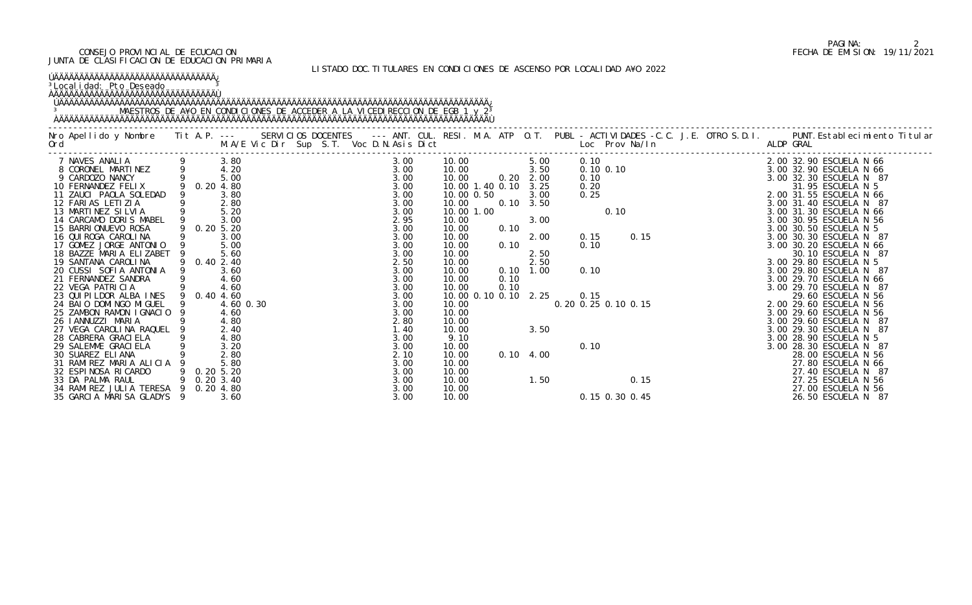## PAGINA: 2<br>FECHA DE EMISION: 19/11/2021 CONSEJO PROVINCIAL DE ECUCACION FECHA DE EMISION: 19/11/2021

JUNTA DE CLASIFICACION DE EDUCACION PRIMARIA

| <sup>3</sup> Local i dad: Pto Deseado                                                                                                                                                                                                                                                                                                                                                                                                                                                                                                                                                                                                                                                                                                                                                            |                                                                                              |                                                                                                                                   |                                                                                                                                                                                                                                      |                                                                                                                                                                                                                              |                                                                                                                                          |                                                                                                                             | LISTADO DOC. TITULARES EN CONDICIONES DE ASCENSO POR LOCALIDAD A¥O 2022 |                                                                                                                                                                                                                                                                                                                                                                                                                                                                                                                                                                                                                                                                                                                                |
|--------------------------------------------------------------------------------------------------------------------------------------------------------------------------------------------------------------------------------------------------------------------------------------------------------------------------------------------------------------------------------------------------------------------------------------------------------------------------------------------------------------------------------------------------------------------------------------------------------------------------------------------------------------------------------------------------------------------------------------------------------------------------------------------------|----------------------------------------------------------------------------------------------|-----------------------------------------------------------------------------------------------------------------------------------|--------------------------------------------------------------------------------------------------------------------------------------------------------------------------------------------------------------------------------------|------------------------------------------------------------------------------------------------------------------------------------------------------------------------------------------------------------------------------|------------------------------------------------------------------------------------------------------------------------------------------|-----------------------------------------------------------------------------------------------------------------------------|-------------------------------------------------------------------------|--------------------------------------------------------------------------------------------------------------------------------------------------------------------------------------------------------------------------------------------------------------------------------------------------------------------------------------------------------------------------------------------------------------------------------------------------------------------------------------------------------------------------------------------------------------------------------------------------------------------------------------------------------------------------------------------------------------------------------|
|                                                                                                                                                                                                                                                                                                                                                                                                                                                                                                                                                                                                                                                                                                                                                                                                  |                                                                                              |                                                                                                                                   |                                                                                                                                                                                                                                      |                                                                                                                                                                                                                              |                                                                                                                                          |                                                                                                                             |                                                                         | Nro Apellido y Nombre Tit A.P. -- SERVICIOS DOCENTES --- ANT. CUL. RESI. M.A. ATP O.T. PUBL - ACTIVIDADES -C.C. J.E. OTRO S.D.I. PUNT.Establecimiento Titular<br>Ord M.AZE Vic Dir Sup S.T. Voc D.N.Asis Dict Loce Prov Na/In ALD                                                                                                                                                                                                                                                                                                                                                                                                                                                                                              |
| 7 NAVES ANALIA<br>8 CORONEL MARTINEZ<br>9 CARDOZO NANCY<br>10 FERNANDEZ FELIX<br>10 FERNANDEZ FELIX<br>9 0.20 4.80<br>10 FERNANDEZ FELIX<br>11 ZAUCI PAOLA SOLEDAD<br>12 FARIAS LETIZIA<br>13 MARTINEZ SILVIA 9 5.20<br>14 CARCAMO DORIS MABEL 9 3.00<br>15 BARRI ONUEVO ROSA<br>16 QUI ROGA CAROLINA<br>17 GOMEZ JORGE ANTONIO<br>18 BAZZE MARIA ELIZABET<br>19 SANTANA CAROLINA<br>20 CUSSI SOFIA ANTONIA 9<br>21 FERNANDEZ SANDRA<br>22 VEGA PATRICIA<br>23 QUI PI LDOR ALBA INES<br>24 BAIO DOMINGO MIGUEL<br>25 ZAMBON RAMON IGNACIO 9<br>26 I ANNUZZI MARIA<br>27 VEGA CAROLINA RAQUEL<br>28 CABRERA GRACI ELA<br>29 SALEMME GRACI ELA<br>30 SUAREZ ELIANA<br>31 RAMIREZ MARIA ALICIA<br>32 ESPINOSA RICARDO<br>33 DA PALMA RAUL<br>34 RAMI REZ JULI A TERESA<br>35 GARCIA MARISA GLADYS 9 | 9 0.20 5.20<br>9<br>9 0.40 2.40<br>9 0.40 4.60<br>9<br>$0.20\,5.20$<br>0.203.40<br>0.20 4.80 | 3.80<br>3.00<br>5.00<br>5.60<br>3.60<br>4.60<br>4.60<br>4.60 0.30<br>4.60<br>4.80<br>2.40<br>4.80<br>3.20<br>2.80<br>5.80<br>3.60 | 3.00<br>3.00<br>3.00<br>3.00<br>3.00<br>3.00<br>3.00<br>2.95<br>3.00<br>3.00<br>3.00<br>3.00<br>2.50<br>3.00<br>3.00<br>3.00<br>3.00<br>3.00<br>3.00<br>2.80<br>1.40<br>3.00<br>3.00<br>2.10<br>3.00<br>3.00<br>3.00<br>3.00<br>3.00 | 10.00<br>10.00<br>10.00<br>10.00<br>10.00<br>10.00<br>10.00<br>10.00<br>10.00<br>10.00<br>10.00<br>10.00<br>10.00<br>10.00<br>10.00<br>10.00<br>10.00<br>9.10<br>10.00<br>10.00<br>10.00<br>10.00<br>10.00<br>10.00<br>10.00 | $5.00$<br>$3.50$<br>$0.20$ $2.00$<br>10.00 1.40 0.10 3.25<br>10.00 0.50<br>10.00 1.00<br>0.10<br>0.10<br>0.10<br>0.10<br>10.00 0.10 0.10 | 3.00<br>$0.10 \quad 3.50$<br>3.00<br>2.00<br>2.50<br>2.50<br>$0.10 \quad 1.00$<br>2.25<br>3.50<br>$0.10 \quad 4.00$<br>1.50 | 0.10<br>0.15<br>0.15 0.30 0.45                                          | 0. 10<br>0. 10<br>0. 20<br>0. 20<br>0. 20<br>0. 20<br>0. 20<br>0. 20<br>0. 20<br>0. 20<br>0. 20<br>0. 20<br>0. 20<br>0. 20<br>0. 20<br>0. 20<br>0. 20<br>0. 20<br>0. 3. 00 32. 30 ESCUELA N 66<br>3. 00 32. 30 ESCUELA N 87<br>2. 00 31. 95 ESCUELA N 66<br>3. 00 31. 40<br>0.10<br>0.10<br>0.10<br>0.10<br>0.15<br>0.10<br>0.10<br>0.15<br>0.29.80<br>0.29.80<br>0.29.80<br>0.29.80<br>0.29.80<br>0.29.80<br>0.29.80<br>0.29.80<br>0.29.80<br>0.29.70<br>0.29.70<br>0.29.70<br>0.29.70<br>0.29.80<br>0.29.70<br>0.29.80<br>0.29.70<br>0.29.80<br>0.29.70<br>0.<br>3.00 28.30 ESCUELA N 87<br>28.00 ESCUELA N 56<br>27.80 ESCUELA N 66<br>27.40 ESCUELA N 87<br>27.25 ESCUELA N 56<br>27.00 ESCUELA N 56<br>26.50 ESCUELA N 87 |